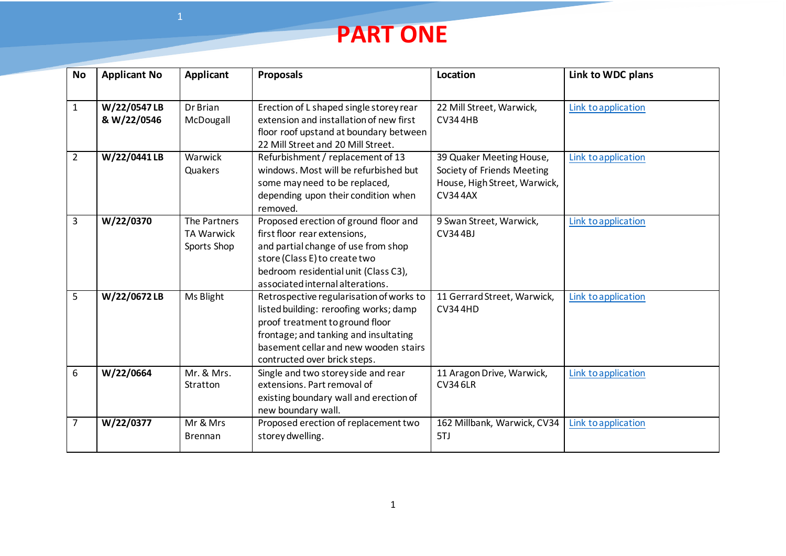## **PART ONE**

| <b>No</b>      | <b>Applicant No</b>        | Applicant                                        | <b>Proposals</b>                                                                                                                                                                                                                        | Location                                                                                                 | Link to WDC plans   |
|----------------|----------------------------|--------------------------------------------------|-----------------------------------------------------------------------------------------------------------------------------------------------------------------------------------------------------------------------------------------|----------------------------------------------------------------------------------------------------------|---------------------|
| $\mathbf{1}$   | W/22/0547LB<br>& W/22/0546 | Dr Brian<br>McDougall                            | Erection of L shaped single storey rear<br>extension and installation of new first<br>floor roof upstand at boundary between<br>22 Mill Street and 20 Mill Street.                                                                      | 22 Mill Street, Warwick,<br><b>CV344HB</b>                                                               | Link to application |
| $\overline{2}$ | W/22/0441LB                | Warwick<br>Quakers                               | Refurbishment / replacement of 13<br>windows. Most will be refurbished but<br>some may need to be replaced,<br>depending upon their condition when<br>removed.                                                                          | 39 Quaker Meeting House,<br>Society of Friends Meeting<br>House, High Street, Warwick,<br><b>CV344AX</b> | Link to application |
| 3              | W/22/0370                  | The Partners<br><b>TA Warwick</b><br>Sports Shop | Proposed erection of ground floor and<br>first floor rear extensions,<br>and partial change of use from shop<br>store (Class E) to create two<br>bedroom residential unit (Class C3),<br>associated internal alterations.               | 9 Swan Street, Warwick,<br><b>CV344BJ</b>                                                                | Link to application |
| 5              | W/22/0672LB                | Ms Blight                                        | Retrospective regularisation of works to<br>listed building: reroofing works; damp<br>proof treatment to ground floor<br>frontage; and tanking and insultating<br>basement cellar and new wooden stairs<br>contructed over brick steps. | 11 Gerrard Street, Warwick,<br><b>CV344HD</b>                                                            | Link to application |
| 6              | W/22/0664                  | Mr. & Mrs.<br>Stratton                           | Single and two storey side and rear<br>extensions. Part removal of<br>existing boundary wall and erection of<br>new boundary wall.                                                                                                      | 11 Aragon Drive, Warwick,<br><b>CV346LR</b>                                                              | Link to application |
| 7              | W/22/0377                  | Mr & Mrs<br><b>Brennan</b>                       | Proposed erection of replacement two<br>storey dwelling.                                                                                                                                                                                | 162 Millbank, Warwick, CV34<br>5TJ                                                                       | Link to application |